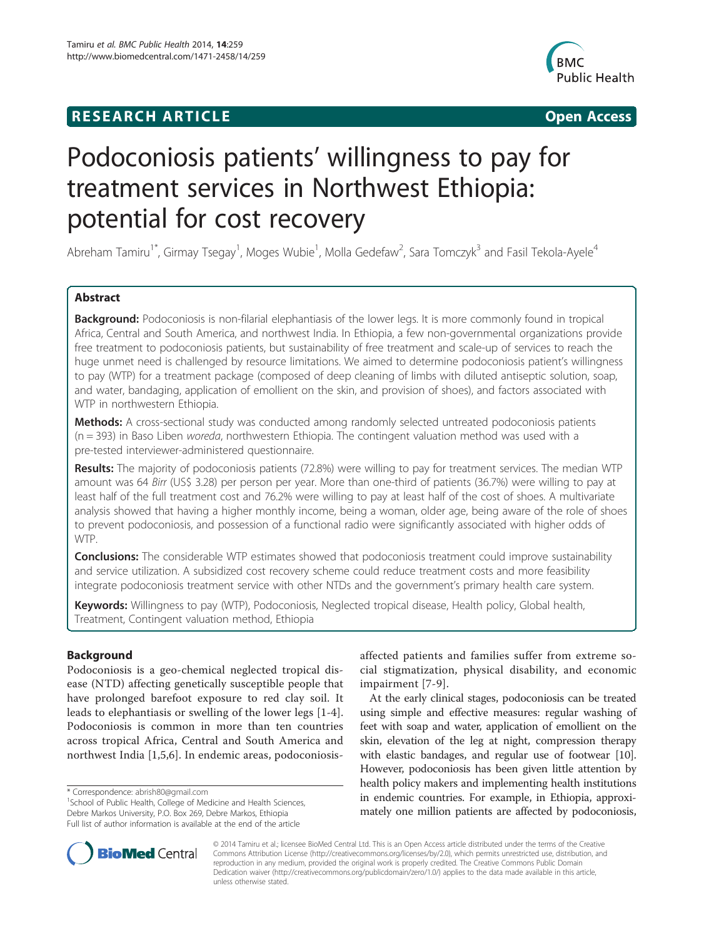# **RESEARCH ARTICLE Example 2014 CONSIDERING CONSIDERING CONSIDERING CONSIDERING CONSIDERING CONSIDERING CONSIDERING CONSIDERING CONSIDERING CONSIDERING CONSIDERING CONSIDERING CONSIDERING CONSIDERING CONSIDERING CONSIDE**



# Podoconiosis patients' willingness to pay for treatment services in Northwest Ethiopia: potential for cost recovery

Abreham Tamiru<sup>1\*</sup>, Girmay Tsegay<sup>1</sup>, Moges Wubie<sup>1</sup>, Molla Gedefaw<sup>2</sup>, Sara Tomczyk<sup>3</sup> and Fasil Tekola-Ayele<sup>4</sup>

# Abstract

Background: Podoconiosis is non-filarial elephantiasis of the lower legs. It is more commonly found in tropical Africa, Central and South America, and northwest India. In Ethiopia, a few non-governmental organizations provide free treatment to podoconiosis patients, but sustainability of free treatment and scale-up of services to reach the huge unmet need is challenged by resource limitations. We aimed to determine podoconiosis patient's willingness to pay (WTP) for a treatment package (composed of deep cleaning of limbs with diluted antiseptic solution, soap, and water, bandaging, application of emollient on the skin, and provision of shoes), and factors associated with WTP in northwestern Ethiopia.

Methods: A cross-sectional study was conducted among randomly selected untreated podoconiosis patients (n = 393) in Baso Liben woreda, northwestern Ethiopia. The contingent valuation method was used with a pre-tested interviewer-administered questionnaire.

Results: The majority of podoconiosis patients (72.8%) were willing to pay for treatment services. The median WTP amount was 64 Birr (US\$ 3.28) per person per year. More than one-third of patients (36.7%) were willing to pay at least half of the full treatment cost and 76.2% were willing to pay at least half of the cost of shoes. A multivariate analysis showed that having a higher monthly income, being a woman, older age, being aware of the role of shoes to prevent podoconiosis, and possession of a functional radio were significantly associated with higher odds of WTP.

**Conclusions:** The considerable WTP estimates showed that podoconiosis treatment could improve sustainability and service utilization. A subsidized cost recovery scheme could reduce treatment costs and more feasibility integrate podoconiosis treatment service with other NTDs and the government's primary health care system.

Keywords: Willingness to pay (WTP), Podoconiosis, Neglected tropical disease, Health policy, Global health, Treatment, Contingent valuation method, Ethiopia

# Background

Podoconiosis is a geo-chemical neglected tropical disease (NTD) affecting genetically susceptible people that have prolonged barefoot exposure to red clay soil. It leads to elephantiasis or swelling of the lower legs [\[1-4](#page-6-0)]. Podoconiosis is common in more than ten countries across tropical Africa, Central and South America and northwest India [[1,5,6\]](#page-6-0). In endemic areas, podoconiosis-

<sup>1</sup>School of Public Health, College of Medicine and Health Sciences, Debre Markos University, P.O. Box 269, Debre Markos, Ethiopia Full list of author information is available at the end of the article

affected patients and families suffer from extreme social stigmatization, physical disability, and economic impairment [\[7-9](#page-6-0)].

At the early clinical stages, podoconiosis can be treated using simple and effective measures: regular washing of feet with soap and water, application of emollient on the skin, elevation of the leg at night, compression therapy with elastic bandages, and regular use of footwear [[10](#page-7-0)]. However, podoconiosis has been given little attention by health policy makers and implementing health institutions in endemic countries. For example, in Ethiopia, approximately one million patients are affected by podoconiosis,



© 2014 Tamiru et al.; licensee BioMed Central Ltd. This is an Open Access article distributed under the terms of the Creative Commons Attribution License [\(http://creativecommons.org/licenses/by/2.0\)](http://creativecommons.org/licenses/by/2.0), which permits unrestricted use, distribution, and reproduction in any medium, provided the original work is properly credited. The Creative Commons Public Domain Dedication waiver [\(http://creativecommons.org/publicdomain/zero/1.0/](http://creativecommons.org/publicdomain/zero/1.0/)) applies to the data made available in this article, unless otherwise stated.

<sup>\*</sup> Correspondence: [abrish80@gmail.com](mailto:abrish80@gmail.com) <sup>1</sup>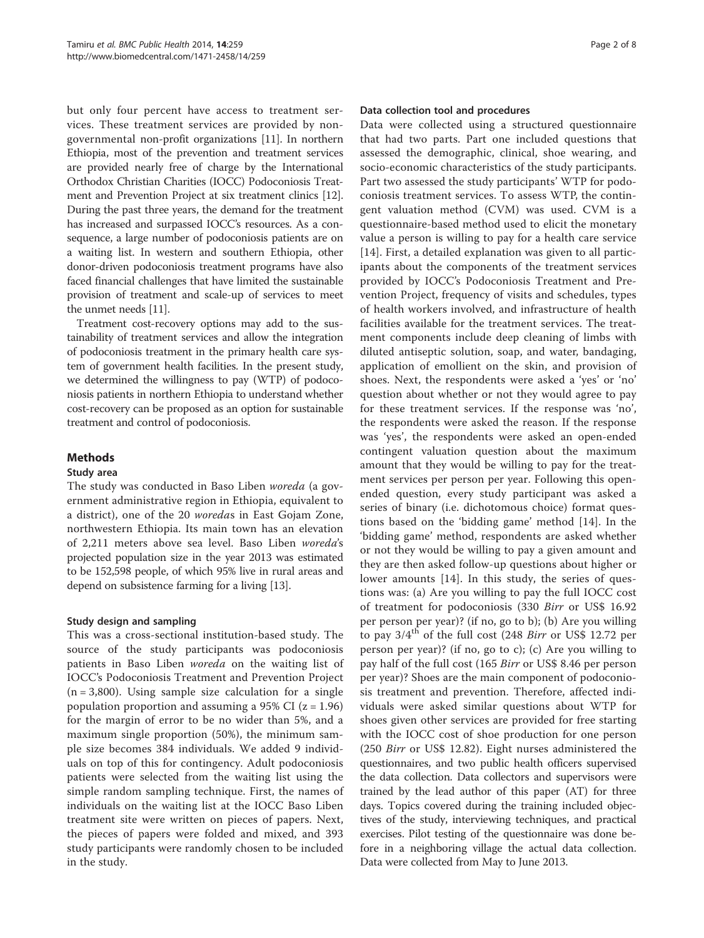but only four percent have access to treatment services. These treatment services are provided by nongovernmental non-profit organizations [\[11\]](#page-7-0). In northern Ethiopia, most of the prevention and treatment services are provided nearly free of charge by the International Orthodox Christian Charities (IOCC) Podoconiosis Treatment and Prevention Project at six treatment clinics [[12](#page-7-0)]. During the past three years, the demand for the treatment has increased and surpassed IOCC's resources. As a consequence, a large number of podoconiosis patients are on a waiting list. In western and southern Ethiopia, other donor-driven podoconiosis treatment programs have also faced financial challenges that have limited the sustainable provision of treatment and scale-up of services to meet the unmet needs [\[11\]](#page-7-0).

Treatment cost-recovery options may add to the sustainability of treatment services and allow the integration of podoconiosis treatment in the primary health care system of government health facilities. In the present study, we determined the willingness to pay (WTP) of podoconiosis patients in northern Ethiopia to understand whether cost-recovery can be proposed as an option for sustainable treatment and control of podoconiosis.

# **Methods**

# Study area

The study was conducted in Baso Liben woreda (a government administrative region in Ethiopia, equivalent to a district), one of the 20 woredas in East Gojam Zone, northwestern Ethiopia. Its main town has an elevation of 2,211 meters above sea level. Baso Liben woreda's projected population size in the year 2013 was estimated to be 152,598 people, of which 95% live in rural areas and depend on subsistence farming for a living [\[13](#page-7-0)].

# Study design and sampling

This was a cross-sectional institution-based study. The source of the study participants was podoconiosis patients in Baso Liben *woreda* on the waiting list of IOCC's Podoconiosis Treatment and Prevention Project  $(n = 3,800)$ . Using sample size calculation for a single population proportion and assuming a 95% CI  $(z = 1.96)$ for the margin of error to be no wider than 5%, and a maximum single proportion (50%), the minimum sample size becomes 384 individuals. We added 9 individuals on top of this for contingency. Adult podoconiosis patients were selected from the waiting list using the simple random sampling technique. First, the names of individuals on the waiting list at the IOCC Baso Liben treatment site were written on pieces of papers. Next, the pieces of papers were folded and mixed, and 393 study participants were randomly chosen to be included in the study.

# Data collection tool and procedures

Data were collected using a structured questionnaire that had two parts. Part one included questions that assessed the demographic, clinical, shoe wearing, and socio-economic characteristics of the study participants. Part two assessed the study participants' WTP for podoconiosis treatment services. To assess WTP, the contingent valuation method (CVM) was used. CVM is a questionnaire-based method used to elicit the monetary value a person is willing to pay for a health care service [[14](#page-7-0)]. First, a detailed explanation was given to all participants about the components of the treatment services provided by IOCC's Podoconiosis Treatment and Prevention Project, frequency of visits and schedules, types of health workers involved, and infrastructure of health facilities available for the treatment services. The treatment components include deep cleaning of limbs with diluted antiseptic solution, soap, and water, bandaging, application of emollient on the skin, and provision of shoes. Next, the respondents were asked a 'yes' or 'no' question about whether or not they would agree to pay for these treatment services. If the response was 'no', the respondents were asked the reason. If the response was 'yes', the respondents were asked an open-ended contingent valuation question about the maximum amount that they would be willing to pay for the treatment services per person per year. Following this openended question, every study participant was asked a series of binary (i.e. dichotomous choice) format questions based on the 'bidding game' method [\[14](#page-7-0)]. In the 'bidding game' method, respondents are asked whether or not they would be willing to pay a given amount and they are then asked follow-up questions about higher or lower amounts [[14](#page-7-0)]. In this study, the series of questions was: (a) Are you willing to pay the full IOCC cost of treatment for podoconiosis (330 Birr or US\$ 16.92 per person per year)? (if no, go to b); (b) Are you willing to pay  $3/4^{\text{th}}$  of the full cost (248 *Birr* or US\$ 12.72 per person per year)? (if no, go to c); (c) Are you willing to pay half of the full cost (165 Birr or US\$ 8.46 per person per year)? Shoes are the main component of podoconiosis treatment and prevention. Therefore, affected individuals were asked similar questions about WTP for shoes given other services are provided for free starting with the IOCC cost of shoe production for one person (250 Birr or US\$ 12.82). Eight nurses administered the questionnaires, and two public health officers supervised the data collection. Data collectors and supervisors were trained by the lead author of this paper (AT) for three days. Topics covered during the training included objectives of the study, interviewing techniques, and practical exercises. Pilot testing of the questionnaire was done before in a neighboring village the actual data collection. Data were collected from May to June 2013.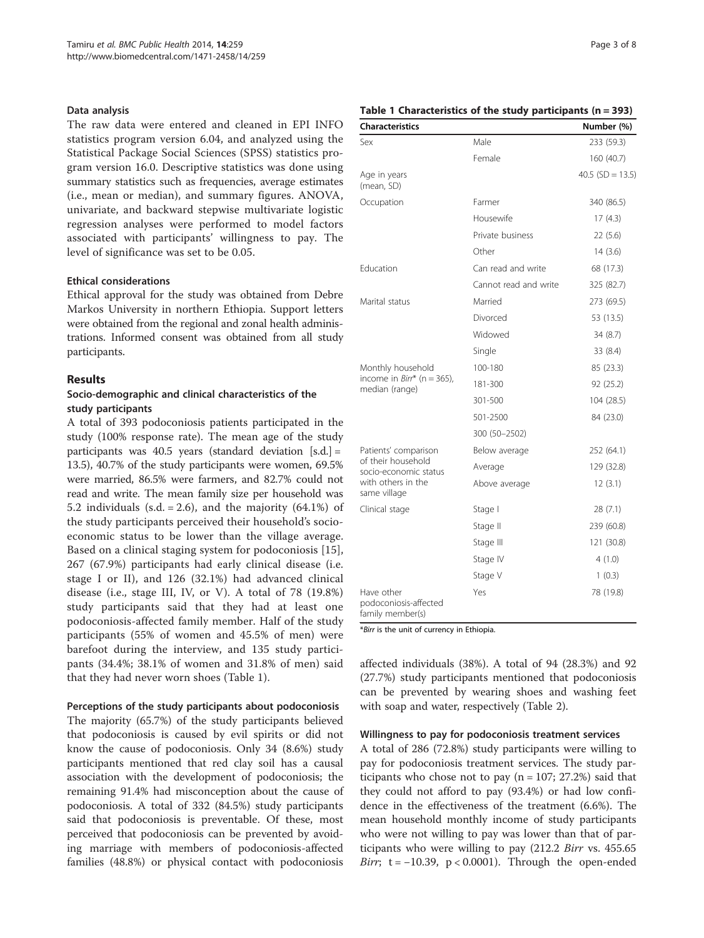### Data analysis

The raw data were entered and cleaned in EPI INFO statistics program version 6.04, and analyzed using the Statistical Package Social Sciences (SPSS) statistics program version 16.0. Descriptive statistics was done using summary statistics such as frequencies, average estimates (i.e., mean or median), and summary figures. ANOVA, univariate, and backward stepwise multivariate logistic regression analyses were performed to model factors associated with participants' willingness to pay. The level of significance was set to be 0.05.

# Ethical considerations

Ethical approval for the study was obtained from Debre Markos University in northern Ethiopia. Support letters were obtained from the regional and zonal health administrations. Informed consent was obtained from all study participants.

# Results

# Socio-demographic and clinical characteristics of the study participants

A total of 393 podoconiosis patients participated in the study (100% response rate). The mean age of the study participants was 40.5 years (standard deviation [s.d.] = 13.5), 40.7% of the study participants were women, 69.5% were married, 86.5% were farmers, and 82.7% could not read and write. The mean family size per household was 5.2 individuals (s.d.  $= 2.6$ ), and the majority (64.1%) of the study participants perceived their household's socioeconomic status to be lower than the village average. Based on a clinical staging system for podoconiosis [\[15](#page-7-0)], 267 (67.9%) participants had early clinical disease (i.e. stage I or II), and 126 (32.1%) had advanced clinical disease (i.e., stage III, IV, or V). A total of 78 (19.8%) study participants said that they had at least one podoconiosis-affected family member. Half of the study participants (55% of women and 45.5% of men) were barefoot during the interview, and 135 study participants (34.4%; 38.1% of women and 31.8% of men) said that they had never worn shoes (Table 1).

# Perceptions of the study participants about podoconiosis

The majority (65.7%) of the study participants believed that podoconiosis is caused by evil spirits or did not know the cause of podoconiosis. Only 34 (8.6%) study participants mentioned that red clay soil has a causal association with the development of podoconiosis; the remaining 91.4% had misconception about the cause of podoconiosis. A total of 332 (84.5%) study participants said that podoconiosis is preventable. Of these, most perceived that podoconiosis can be prevented by avoiding marriage with members of podoconiosis-affected families (48.8%) or physical contact with podoconiosis

# Table 1 Characteristics of the study participants (n = 393)

| <b>Characteristics</b>                                  |                       | Number (%)         |
|---------------------------------------------------------|-----------------------|--------------------|
| Sex                                                     | Male                  | 233 (59.3)         |
|                                                         | Female                | 160 (40.7)         |
| Age in years<br>(mean, SD)                              |                       | 40.5 $(SD = 13.5)$ |
| Occupation                                              | Farmer                | 340 (86.5)         |
|                                                         | Housewife             | 17(4.3)            |
|                                                         | Private business      | 22(5.6)            |
|                                                         | Other                 | 14(3.6)            |
| Fducation                                               | Can read and write    | 68 (17.3)          |
|                                                         | Cannot read and write | 325 (82.7)         |
| Marital status                                          | Married               | 273 (69.5)         |
|                                                         | Divorced              | 53 (13.5)          |
|                                                         | Widowed               | 34(8.7)            |
|                                                         | Single                | 33 (8.4)           |
| Monthly household                                       | 100-180               | 85 (23.3)          |
| income in $Birr^*$ (n = 365),<br>median (range)         | 181-300               | 92 (25.2)          |
|                                                         | 301-500               | 104 (28.5)         |
|                                                         | 501-2500              | 84 (23.0)          |
|                                                         | 300 (50-2502)         |                    |
| Patients' comparison                                    | Below average         | 252 (64.1)         |
| of their household<br>socio-economic status             | Average               | 129 (32.8)         |
| with others in the<br>same village                      | Above average         | 12(3.1)            |
| Clinical stage                                          | Stage I               | 28(7.1)            |
|                                                         | Stage II              | 239 (60.8)         |
|                                                         | Stage III             | 121 (30.8)         |
|                                                         | Stage IV              | 4(1.0)             |
|                                                         | Stage V               | 1(0.3)             |
| Have other<br>podoconiosis-affected<br>family member(s) | Yes                   | 78 (19.8)          |

\*Birr is the unit of currency in Ethiopia.

affected individuals (38%). A total of 94 (28.3%) and 92 (27.7%) study participants mentioned that podoconiosis can be prevented by wearing shoes and washing feet with soap and water, respectively (Table [2\)](#page-3-0).

#### Willingness to pay for podoconiosis treatment services

A total of 286 (72.8%) study participants were willing to pay for podoconiosis treatment services. The study participants who chose not to pay  $(n = 107; 27.2%)$  said that they could not afford to pay (93.4%) or had low confidence in the effectiveness of the treatment (6.6%). The mean household monthly income of study participants who were not willing to pay was lower than that of participants who were willing to pay (212.2 *Birr* vs. 455.65 Birr;  $t = -10.39$ ,  $p < 0.0001$ ). Through the open-ended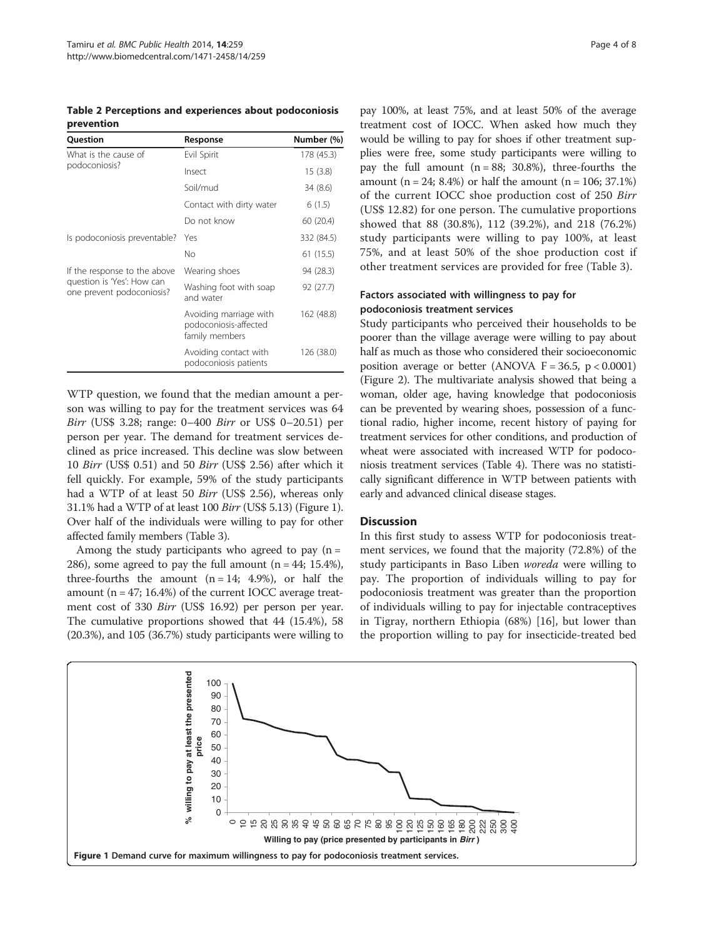<span id="page-3-0"></span>Table 2 Perceptions and experiences about podoconiosis prevention

| Question                                                | Response                                                          | Number (%) |
|---------------------------------------------------------|-------------------------------------------------------------------|------------|
| What is the cause of                                    | Evil Spirit                                                       | 178 (45.3) |
| podoconiosis?                                           | Insect                                                            | 15(3.8)    |
|                                                         | Soil/mud                                                          | 34 (8.6)   |
|                                                         | Contact with dirty water                                          | 6(1.5)     |
|                                                         | Do not know                                                       | 60 (20.4)  |
| Is podoconiosis preventable?                            | Yes                                                               | 332 (84.5) |
|                                                         | No                                                                | 61 (15.5)  |
| If the response to the above                            | Wearing shoes                                                     | 94 (28.3)  |
| question is 'Yes': How can<br>one prevent podoconiosis? | Washing foot with soap<br>and water                               | 92 (27.7)  |
|                                                         | Avoiding marriage with<br>podoconiosis-affected<br>family members | 162 (48.8) |
|                                                         | Avoiding contact with<br>podoconiosis patients                    | 126 (38.0) |

WTP question, we found that the median amount a person was willing to pay for the treatment services was 64 Birr (US\$ 3.28; range: 0–400 Birr or US\$ 0–20.51) per person per year. The demand for treatment services declined as price increased. This decline was slow between 10 Birr (US\$ 0.51) and 50 Birr (US\$ 2.56) after which it fell quickly. For example, 59% of the study participants had a WTP of at least 50 Birr (US\$ 2.56), whereas only 31.1% had a WTP of at least 100 Birr (US\$ 5.13) (Figure 1). Over half of the individuals were willing to pay for other affected family members (Table [3](#page-4-0)).

Among the study participants who agreed to pay  $(n =$ 286), some agreed to pay the full amount  $(n = 44; 15.4\%),$ three-fourths the amount  $(n = 14; 4.9\%)$ , or half the amount ( $n = 47$ ; 16.4%) of the current IOCC average treatment cost of 330 Birr (US\$ 16.92) per person per year. The cumulative proportions showed that 44 (15.4%), 58 (20.3%), and 105 (36.7%) study participants were willing to

pay 100%, at least 75%, and at least 50% of the average treatment cost of IOCC. When asked how much they would be willing to pay for shoes if other treatment supplies were free, some study participants were willing to pay the full amount  $(n = 88; 30.8%)$ , three-fourths the amount  $(n = 24; 8.4%)$  or half the amount  $(n = 106; 37.1%)$ of the current IOCC shoe production cost of 250 Birr (US\$ 12.82) for one person. The cumulative proportions showed that 88 (30.8%), 112 (39.2%), and 218 (76.2%) study participants were willing to pay 100%, at least 75%, and at least 50% of the shoe production cost if other treatment services are provided for free (Table [3\)](#page-4-0).

# Factors associated with willingness to pay for podoconiosis treatment services

Study participants who perceived their households to be poorer than the village average were willing to pay about half as much as those who considered their socioeconomic position average or better (ANOVA  $F = 36.5$ ,  $p < 0.0001$ ) (Figure [2\)](#page-4-0). The multivariate analysis showed that being a woman, older age, having knowledge that podoconiosis can be prevented by wearing shoes, possession of a functional radio, higher income, recent history of paying for treatment services for other conditions, and production of wheat were associated with increased WTP for podoconiosis treatment services (Table [4](#page-5-0)). There was no statistically significant difference in WTP between patients with early and advanced clinical disease stages.

# **Discussion**

In this first study to assess WTP for podoconiosis treatment services, we found that the majority (72.8%) of the study participants in Baso Liben woreda were willing to pay. The proportion of individuals willing to pay for podoconiosis treatment was greater than the proportion of individuals willing to pay for injectable contraceptives in Tigray, northern Ethiopia (68%) [\[16\]](#page-7-0), but lower than the proportion willing to pay for insecticide-treated bed

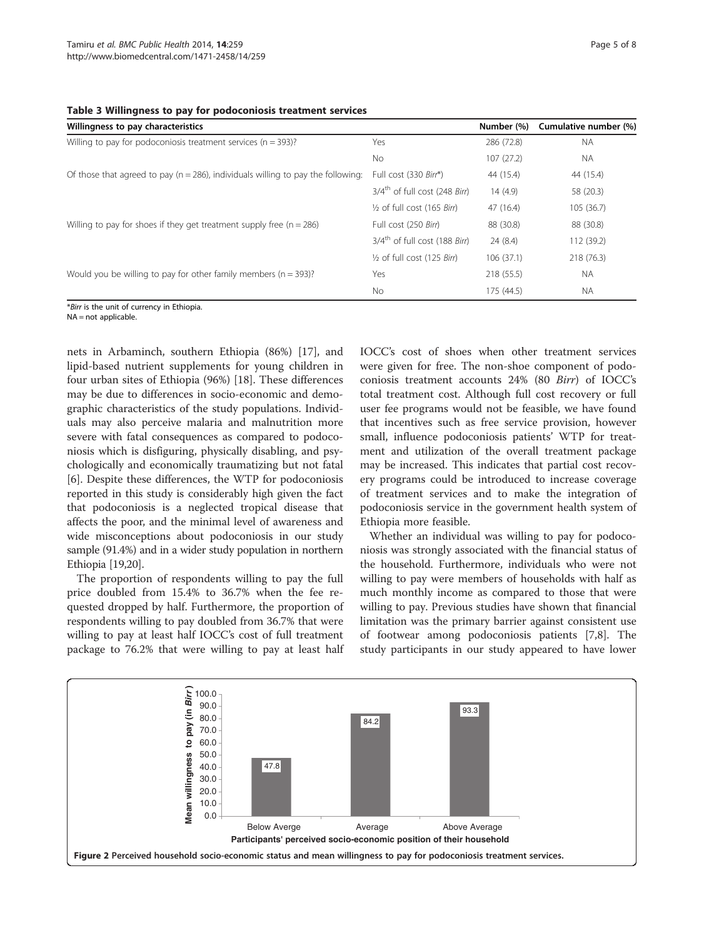<span id="page-4-0"></span>

|  |  |  |  |  |  | Table 3 Willingness to pay for podoconiosis treatment services |
|--|--|--|--|--|--|----------------------------------------------------------------|
|--|--|--|--|--|--|----------------------------------------------------------------|

| Willingness to pay characteristics                                                   |                                           | Number (%) | Cumulative number (%) |
|--------------------------------------------------------------------------------------|-------------------------------------------|------------|-----------------------|
| Willing to pay for podoconiosis treatment services ( $n = 393$ )?                    | Yes                                       | 286 (72.8) | <b>NA</b>             |
|                                                                                      | <b>No</b>                                 | 107(27.2)  | N.                    |
| Of those that agreed to pay ( $n = 286$ ), individuals willing to pay the following: | Full cost (330 Birr*)                     | 44 (15.4)  | 44 (15.4)             |
|                                                                                      | 3/4 <sup>th</sup> of full cost (248 Birr) | 14(4.9)    | 58 (20.3)             |
|                                                                                      | 1/2 of full cost (165 Birr)               | 47 (16.4)  | 105 (36.7)            |
| Willing to pay for shoes if they get treatment supply free $(n = 286)$               | Full cost (250 Birr)                      | 88 (30.8)  | 88 (30.8)             |
|                                                                                      | 3/4 <sup>th</sup> of full cost (188 Birr) | 24(8.4)    | 112 (39.2)            |
|                                                                                      | 1/2 of full cost (125 Birr)               | 106(37.1)  | 218 (76.3)            |
| Would you be willing to pay for other family members ( $n = 393$ )?                  | Yes                                       | 218 (55.5) | <b>NA</b>             |
|                                                                                      | <b>No</b>                                 | 175 (44.5) | <b>NA</b>             |

\*Birr is the unit of currency in Ethiopia.

 $NA = not$  applicable.

nets in Arbaminch, southern Ethiopia (86%) [\[17](#page-7-0)], and lipid-based nutrient supplements for young children in four urban sites of Ethiopia (96%) [\[18\]](#page-7-0). These differences may be due to differences in socio-economic and demographic characteristics of the study populations. Individuals may also perceive malaria and malnutrition more severe with fatal consequences as compared to podoconiosis which is disfiguring, physically disabling, and psychologically and economically traumatizing but not fatal [[6\]](#page-6-0). Despite these differences, the WTP for podoconiosis reported in this study is considerably high given the fact that podoconiosis is a neglected tropical disease that affects the poor, and the minimal level of awareness and wide misconceptions about podoconiosis in our study sample (91.4%) and in a wider study population in northern Ethiopia [\[19,20\]](#page-7-0).

The proportion of respondents willing to pay the full price doubled from 15.4% to 36.7% when the fee requested dropped by half. Furthermore, the proportion of respondents willing to pay doubled from 36.7% that were willing to pay at least half IOCC's cost of full treatment package to 76.2% that were willing to pay at least half IOCC's cost of shoes when other treatment services were given for free. The non-shoe component of podoconiosis treatment accounts 24% (80 Birr) of IOCC's total treatment cost. Although full cost recovery or full user fee programs would not be feasible, we have found that incentives such as free service provision, however small, influence podoconiosis patients' WTP for treatment and utilization of the overall treatment package may be increased. This indicates that partial cost recovery programs could be introduced to increase coverage of treatment services and to make the integration of podoconiosis service in the government health system of Ethiopia more feasible.

Whether an individual was willing to pay for podoconiosis was strongly associated with the financial status of the household. Furthermore, individuals who were not willing to pay were members of households with half as much monthly income as compared to those that were willing to pay. Previous studies have shown that financial limitation was the primary barrier against consistent use of footwear among podoconiosis patients [\[7,8](#page-6-0)]. The study participants in our study appeared to have lower

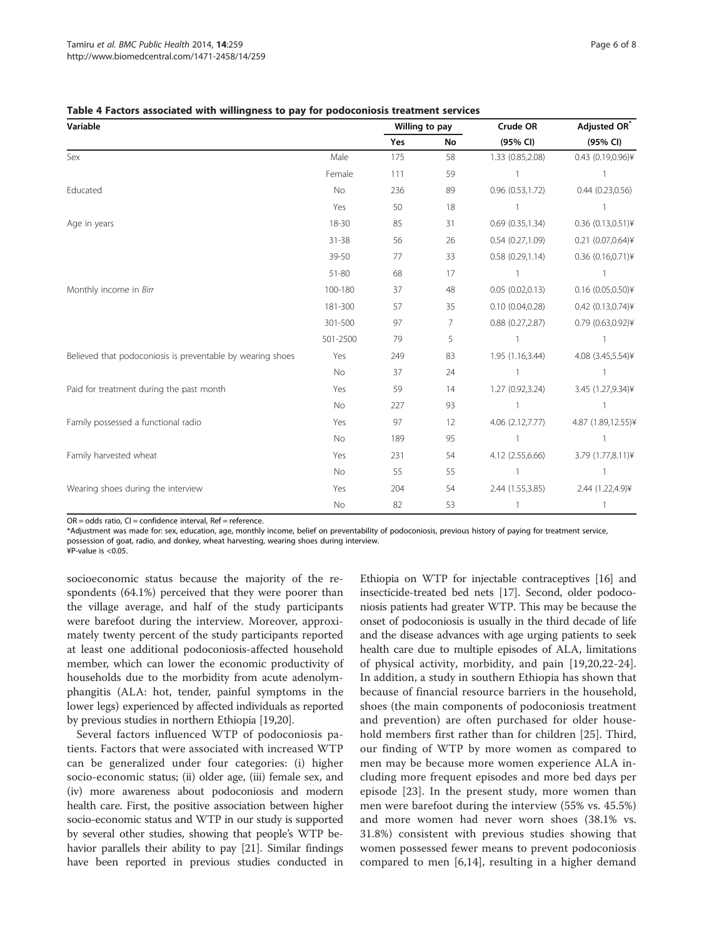<span id="page-5-0"></span>

| Table 4 Factors associated with willingness to pay for podoconiosis treatment services |  |  |
|----------------------------------------------------------------------------------------|--|--|
|----------------------------------------------------------------------------------------|--|--|

| Variable                                                   |           | Willing to pay |    | Crude OR              | Adjusted OR*            |  |
|------------------------------------------------------------|-----------|----------------|----|-----------------------|-------------------------|--|
|                                                            |           | Yes            | No | (95% CI)              | (95% CI)                |  |
| Sex                                                        | Male      | 175            | 58 | 1.33 (0.85,2.08)      | 0.43 (0.19,0.96)¥       |  |
|                                                            | Female    | 111            | 59 |                       |                         |  |
| Educated                                                   | No        | 236            | 89 | 0.96 (0.53,1.72)      | $0.44$ $(0.23, 0.56)$   |  |
|                                                            | Yes       | 50             | 18 |                       |                         |  |
| Age in years                                               | 18-30     | 85             | 31 | 0.69(0.35, 1.34)      | $0.36$ $(0.13, 0.51)$ ¥ |  |
|                                                            | $31 - 38$ | 56             | 26 | 0.54(0.27,1.09)       | $0.21$ $(0.07, 0.64)$ ¥ |  |
|                                                            | 39-50     | 77             | 33 | 0.58(0.29, 1.14)      | 0.36 (0.16,0.71)¥       |  |
|                                                            | 51-80     | 68             | 17 |                       |                         |  |
| Monthly income in Birr                                     | 100-180   | 37             | 48 | 0.05(0.02,0.13)       | $0.16$ (0.05,0.50)¥     |  |
|                                                            | 181-300   | 57             | 35 | 0.10(0.04, 0.28)      | $0.42$ $(0.13, 0.74)$ ¥ |  |
|                                                            | 301-500   | 97             | 7  | $0.88$ $(0.27, 2.87)$ | 0.79 (0.63,0.92)¥       |  |
|                                                            | 501-2500  | 79             | 5  |                       |                         |  |
| Believed that podoconiosis is preventable by wearing shoes | Yes       | 249            | 83 | 1.95 (1.16,3.44)      | 4.08 (3.45,5.54)¥       |  |
|                                                            | No        | 37             | 24 |                       |                         |  |
| Paid for treatment during the past month                   | Yes       | 59             | 14 | 1.27 (0.92,3.24)      | 3.45 (1.27,9.34)¥       |  |
|                                                            | No        | 227            | 93 |                       |                         |  |
| Family possessed a functional radio                        | Yes       | 97             | 12 | 4.06 (2.12,7.77)      | 4.87 (1.89,12.55)¥      |  |
|                                                            | No        | 189            | 95 |                       |                         |  |
| Family harvested wheat                                     | Yes       | 231            | 54 | 4.12 (2.55,6.66)      | 3.79 (1.77,8.11)¥       |  |
|                                                            | No        | 55             | 55 |                       |                         |  |
| Wearing shoes during the interview                         | Yes       | 204            | 54 | 2.44 (1.55,3.85)      | 2.44 (1.22,4.9)¥        |  |
|                                                            | No        | 82             | 53 |                       |                         |  |

 $OR = odds$  ratio,  $CI = confidence$  interval,  $Ref = reference$ .

\*Adjustment was made for: sex, education, age, monthly income, belief on preventability of podoconiosis, previous history of paying for treatment service, possession of goat, radio, and donkey, wheat harvesting, wearing shoes during interview.

¥P-value is <0.05.

socioeconomic status because the majority of the respondents (64.1%) perceived that they were poorer than the village average, and half of the study participants were barefoot during the interview. Moreover, approximately twenty percent of the study participants reported at least one additional podoconiosis-affected household member, which can lower the economic productivity of households due to the morbidity from acute adenolymphangitis (ALA: hot, tender, painful symptoms in the lower legs) experienced by affected individuals as reported by previous studies in northern Ethiopia [[19,20\]](#page-7-0).

Several factors influenced WTP of podoconiosis patients. Factors that were associated with increased WTP can be generalized under four categories: (i) higher socio-economic status; (ii) older age, (iii) female sex, and (iv) more awareness about podoconiosis and modern health care. First, the positive association between higher socio-economic status and WTP in our study is supported by several other studies, showing that people's WTP behavior parallels their ability to pay [\[21\]](#page-7-0). Similar findings have been reported in previous studies conducted in

Ethiopia on WTP for injectable contraceptives [[16](#page-7-0)] and insecticide-treated bed nets [\[17](#page-7-0)]. Second, older podoconiosis patients had greater WTP. This may be because the onset of podoconiosis is usually in the third decade of life and the disease advances with age urging patients to seek health care due to multiple episodes of ALA, limitations of physical activity, morbidity, and pain [[19,20,22-24](#page-7-0)]. In addition, a study in southern Ethiopia has shown that because of financial resource barriers in the household, shoes (the main components of podoconiosis treatment and prevention) are often purchased for older household members first rather than for children [[25](#page-7-0)]. Third, our finding of WTP by more women as compared to men may be because more women experience ALA including more frequent episodes and more bed days per episode [[23\]](#page-7-0). In the present study, more women than men were barefoot during the interview (55% vs. 45.5%) and more women had never worn shoes (38.1% vs. 31.8%) consistent with previous studies showing that women possessed fewer means to prevent podoconiosis compared to men [[6,](#page-6-0)[14\]](#page-7-0), resulting in a higher demand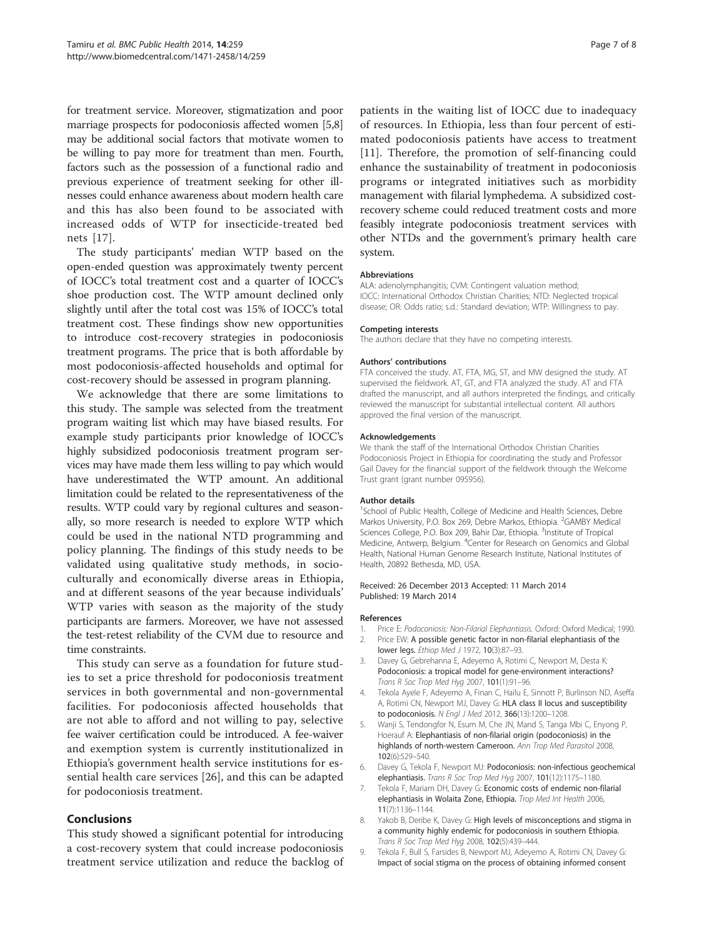<span id="page-6-0"></span>for treatment service. Moreover, stigmatization and poor marriage prospects for podoconiosis affected women [5,8] may be additional social factors that motivate women to be willing to pay more for treatment than men. Fourth, factors such as the possession of a functional radio and previous experience of treatment seeking for other illnesses could enhance awareness about modern health care and this has also been found to be associated with increased odds of WTP for insecticide-treated bed nets [[17\]](#page-7-0).

The study participants' median WTP based on the open-ended question was approximately twenty percent of IOCC's total treatment cost and a quarter of IOCC's shoe production cost. The WTP amount declined only slightly until after the total cost was 15% of IOCC's total treatment cost. These findings show new opportunities to introduce cost-recovery strategies in podoconiosis treatment programs. The price that is both affordable by most podoconiosis-affected households and optimal for cost-recovery should be assessed in program planning.

We acknowledge that there are some limitations to this study. The sample was selected from the treatment program waiting list which may have biased results. For example study participants prior knowledge of IOCC's highly subsidized podoconiosis treatment program services may have made them less willing to pay which would have underestimated the WTP amount. An additional limitation could be related to the representativeness of the results. WTP could vary by regional cultures and seasonally, so more research is needed to explore WTP which could be used in the national NTD programming and policy planning. The findings of this study needs to be validated using qualitative study methods, in socioculturally and economically diverse areas in Ethiopia, and at different seasons of the year because individuals' WTP varies with season as the majority of the study participants are farmers. Moreover, we have not assessed the test-retest reliability of the CVM due to resource and time constraints.

This study can serve as a foundation for future studies to set a price threshold for podoconiosis treatment services in both governmental and non-governmental facilities. For podoconiosis affected households that are not able to afford and not willing to pay, selective fee waiver certification could be introduced. A fee-waiver and exemption system is currently institutionalized in Ethiopia's government health service institutions for essential health care services [[26\]](#page-7-0), and this can be adapted for podoconiosis treatment.

# **Conclusions**

This study showed a significant potential for introducing a cost-recovery system that could increase podoconiosis treatment service utilization and reduce the backlog of patients in the waiting list of IOCC due to inadequacy of resources. In Ethiopia, less than four percent of estimated podoconiosis patients have access to treatment [[11](#page-7-0)]. Therefore, the promotion of self-financing could enhance the sustainability of treatment in podoconiosis programs or integrated initiatives such as morbidity management with filarial lymphedema. A subsidized costrecovery scheme could reduced treatment costs and more feasibly integrate podoconiosis treatment services with other NTDs and the government's primary health care system.

#### Abbreviations

ALA: adenolymphangitis; CVM: Contingent valuation method; IOCC: International Orthodox Christian Charities; NTD: Neglected tropical disease; OR: Odds ratio; s.d.: Standard deviation; WTP: Willingness to pay.

#### Competing interests

The authors declare that they have no competing interests.

#### Authors' contributions

FTA conceived the study. AT, FTA, MG, ST, and MW designed the study. AT supervised the fieldwork. AT, GT, and FTA analyzed the study. AT and FTA drafted the manuscript, and all authors interpreted the findings, and critically reviewed the manuscript for substantial intellectual content. All authors approved the final version of the manuscript.

#### Acknowledgements

We thank the staff of the International Orthodox Christian Charities Podoconiosis Project in Ethiopia for coordinating the study and Professor Gail Davey for the financial support of the fieldwork through the Welcome Trust grant (grant number 095956).

#### Author details

<sup>1</sup>School of Public Health, College of Medicine and Health Sciences, Debre Markos University, P.O. Box 269, Debre Markos, Ethiopia. <sup>2</sup>GAMBY Medical Sciences College, P.O. Box 209, Bahir Dar, Ethiopia. <sup>3</sup>Institute of Tropical Medicine, Antwerp, Belgium. <sup>4</sup>Center for Research on Genomics and Global Health, National Human Genome Research Institute, National Institutes of Health, 20892 Bethesda, MD, USA.

#### Received: 26 December 2013 Accepted: 11 March 2014 Published: 19 March 2014

#### References

- 1. Price E: Podoconiosis: Non-Filarial Elephantiasis. Oxford: Oxford Medical; 1990.
- 2. Price EW: A possible genetic factor in non-filarial elephantiasis of the lower legs. Ethiop Med J 1972, 10(3):87-93.
- 3. Davey G, Gebrehanna E, Adeyemo A, Rotimi C, Newport M, Desta K: Podoconiosis: a tropical model for gene-environment interactions? Trans R Soc Trop Med Hyg 2007, 101(1):91–96.
- Tekola Ayele F, Adeyemo A, Finan C, Hailu E, Sinnott P, Burlinson ND, Aseffa A, Rotimi CN, Newport MJ, Davey G: HLA class II locus and susceptibility to podoconiosis. N Engl J Med 2012, 366(13):1200–1208.
- 5. Wanji S, Tendongfor N, Esum M, Che JN, Mand S, Tanga Mbi C, Enyong P, Hoerauf A: Elephantiasis of non-filarial origin (podoconiosis) in the highlands of north-western Cameroon. Ann Trop Med Parasitol 2008, 102(6):529–540.
- 6. Davey G, Tekola F, Newport MJ: Podoconiosis: non-infectious geochemical elephantiasis. Trans R Soc Trop Med Hyg 2007, 101(12):1175–1180.
- 7. Tekola F, Mariam DH, Davey G: Economic costs of endemic non-filarial elephantiasis in Wolaita Zone, Ethiopia. Trop Med Int Health 2006, 11(7):1136–1144.
- 8. Yakob B, Deribe K, Davey G: High levels of misconceptions and stigma in a community highly endemic for podoconiosis in southern Ethiopia. Trans R Soc Trop Med Hyg 2008, 102(5):439–444.
- 9. Tekola F, Bull S, Farsides B, Newport MJ, Adeyemo A, Rotimi CN, Davey G: Impact of social stigma on the process of obtaining informed consent